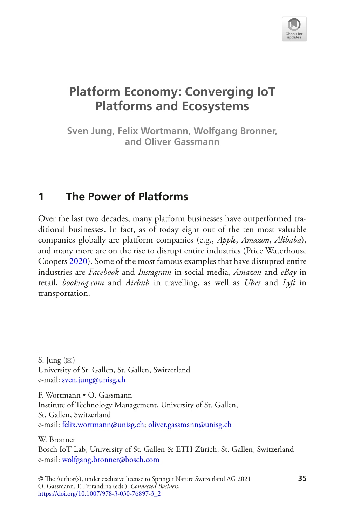

# **Platform Economy: Converging IoT Platforms and Ecosystems**

**Sven Jung, Felix Wortmann, Wolfgang Bronner, and Oliver Gassmann**

## **1 The Power of Platforms**

Over the last two decades, many platform businesses have outperformed traditional businesses. In fact, as of today eight out of the ten most valuable companies globally are platform companies (e.g., *Apple*, *Amazon*, *Alibaba*), and many more are on the rise to disrupt entire industries (Price Waterhouse Coopers [2020\)](#page-18-0). Some of the most famous examples that have disrupted entire industries are *Facebook* and *Instagram* in social media, *Amazon* and *eBay* in retail, *booking.com* and *Airbnb* in travelling, as well as *Uber* and *Lyft* in transportation.

F. Wortmann • O. Gassmann

Institute of Technology Management, University of St. Gallen, St. Gallen, Switzerland e-mail[: felix.wortmann@unisg.ch](mailto:felix.wortmann@unisg.ch)[; oliver.gassmann@unisg.ch](mailto:oliver.gassmann@unisg.ch)

W. Bronner

S. Jung  $(\boxtimes)$ 

University of St. Gallen, St. Gallen, Switzerland e-mail[: sven.jung@unisg.ch](mailto:sven.jung@unisg.ch)

Bosch IoT Lab, University of St. Gallen & ETH Zürich, St. Gallen, Switzerland e-mail[: wolfgang.bronner@bosch.com](mailto:wolfgang.bronner@bosch.com)

<sup>©</sup> The Author(s), under exclusive license to Springer Nature Switzerland AG 2021 **35** O. Gassmann, F. Ferrandina (eds.), *Connected Business*, [https://doi.org/10.1007/978-3-030-76897-3\\_2](https://doi.org/10.1007/978-3-030-76897-3_2#DOI)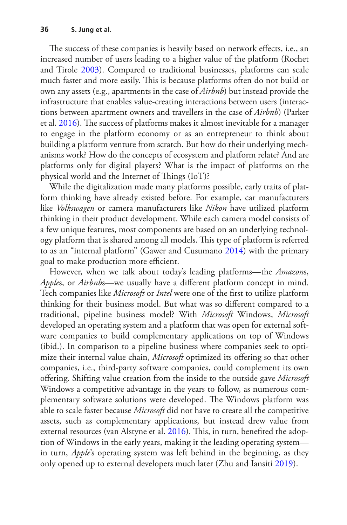The success of these companies is heavily based on network effects, i.e., an increased number of users leading to a higher value of the platform (Rochet and Tirole [2003\)](#page-18-1). Compared to traditional businesses, platforms can scale much faster and more easily. This is because platforms often do not build or own any assets (e.g., apartments in the case of *Airbnb*) but instead provide the infrastructure that enables value-creating interactions between users (interactions between apartment owners and travellers in the case of *Airbnb*) (Parker et al. [2016](#page-17-0)). The success of platforms makes it almost inevitable for a manager to engage in the platform economy or as an entrepreneur to think about building a platform venture from scratch. But how do their underlying mechanisms work? How do the concepts of ecosystem and platform relate? And are platforms only for digital players? What is the impact of platforms on the physical world and the Internet of Things (IoT)?

While the digitalization made many platforms possible, early traits of platform thinking have already existed before. For example, car manufacturers like *Volkswagen* or camera manufacturers like *Nikon* have utilized platform thinking in their product development. While each camera model consists of a few unique features, most components are based on an underlying technology platform that is shared among all models. This type of platform is referred to as an "internal platform" (Gawer and Cusumano [2014](#page-17-1)) with the primary goal to make production more efficient.

However, when we talk about today's leading platforms—the *Amazon*s, *Apple*s, or *Airbnb*s—we usually have a diferent platform concept in mind. Tech companies like *Microsoft* or *Intel* were one of the frst to utilize platform thinking for their business model. But what was so diferent compared to a traditional, pipeline business model? With *Microsoft* Windows, *Microsoft* developed an operating system and a platform that was open for external software companies to build complementary applications on top of Windows (ibid.). In comparison to a pipeline business where companies seek to optimize their internal value chain, *Microsoft* optimized its ofering so that other companies, i.e., third-party software companies, could complement its own ofering. Shifting value creation from the inside to the outside gave *Microsoft* Windows a competitive advantage in the years to follow, as numerous complementary software solutions were developed. The Windows platform was able to scale faster because *Microsoft* did not have to create all the competitive assets, such as complementary applications, but instead drew value from external resources (van Alstyne et al. [2016](#page-18-2)). This, in turn, benefited the adoption of Windows in the early years, making it the leading operating system in turn, *Apple*'s operating system was left behind in the beginning, as they only opened up to external developers much later (Zhu and Iansiti [2019](#page-18-3)).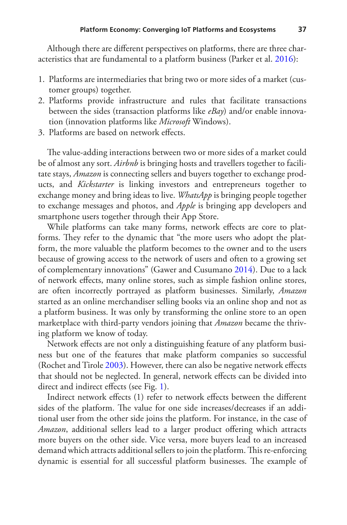Although there are diferent perspectives on platforms, there are three characteristics that are fundamental to a platform business (Parker et al. [2016](#page-17-0)):

- 1. Platforms are intermediaries that bring two or more sides of a market (customer groups) together.
- 2. Platforms provide infrastructure and rules that facilitate transactions between the sides (transaction platforms like *eBay*) and/or enable innovation (innovation platforms like *Microsoft* Windows).
- 3. Platforms are based on network efects.

The value-adding interactions between two or more sides of a market could be of almost any sort. *Airbnb* is bringing hosts and travellers together to facilitate stays, *Amazon* is connecting sellers and buyers together to exchange products, and *Kickstarter* is linking investors and entrepreneurs together to exchange money and bring ideas to live. *WhatsApp* is bringing people together to exchange messages and photos, and *Apple* is bringing app developers and smartphone users together through their App Store.

While platforms can take many forms, network effects are core to platforms. They refer to the dynamic that "the more users who adopt the platform, the more valuable the platform becomes to the owner and to the users because of growing access to the network of users and often to a growing set of complementary innovations" (Gawer and Cusumano [2014](#page-17-1)). Due to a lack of network efects, many online stores, such as simple fashion online stores, are often incorrectly portrayed as platform businesses. Similarly, *Amazon* started as an online merchandiser selling books via an online shop and not as a platform business. It was only by transforming the online store to an open marketplace with third-party vendors joining that *Amazon* became the thriving platform we know of today.

Network effects are not only a distinguishing feature of any platform business but one of the features that make platform companies so successful (Rochet and Tirole [2003](#page-18-1)). However, there can also be negative network efects that should not be neglected. In general, network efects can be divided into direct and indirect effects (see Fig. [1\)](#page-3-0).

Indirect network effects (1) refer to network effects between the different sides of the platform. The value for one side increases/decreases if an additional user from the other side joins the platform. For instance, in the case of *Amazon*, additional sellers lead to a larger product ofering which attracts more buyers on the other side. Vice versa, more buyers lead to an increased demand which attracts additional sellers to join the platform. This re-enforcing dynamic is essential for all successful platform businesses. The example of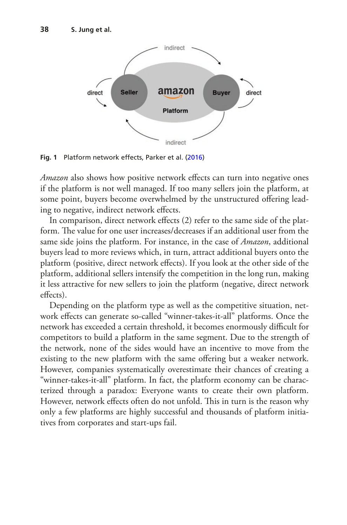<span id="page-3-0"></span>

**Fig. 1** Platform network effects, Parker et al. [\(2016](#page-17-0))

*Amazon* also shows how positive network effects can turn into negative ones if the platform is not well managed. If too many sellers join the platform, at some point, buyers become overwhelmed by the unstructured offering leading to negative, indirect network efects.

In comparison, direct network effects (2) refer to the same side of the platform. The value for one user increases/decreases if an additional user from the same side joins the platform. For instance, in the case of *Amazon*, additional buyers lead to more reviews which, in turn, attract additional buyers onto the platform (positive, direct network efects). If you look at the other side of the platform, additional sellers intensify the competition in the long run, making it less attractive for new sellers to join the platform (negative, direct network efects).

Depending on the platform type as well as the competitive situation, network efects can generate so-called "winner-takes-it-all" platforms. Once the network has exceeded a certain threshold, it becomes enormously difficult for competitors to build a platform in the same segment. Due to the strength of the network, none of the sides would have an incentive to move from the existing to the new platform with the same offering but a weaker network. However, companies systematically overestimate their chances of creating a "winner-takes-it-all" platform. In fact, the platform economy can be characterized through a paradox: Everyone wants to create their own platform. However, network effects often do not unfold. This in turn is the reason why only a few platforms are highly successful and thousands of platform initiatives from corporates and start-ups fail.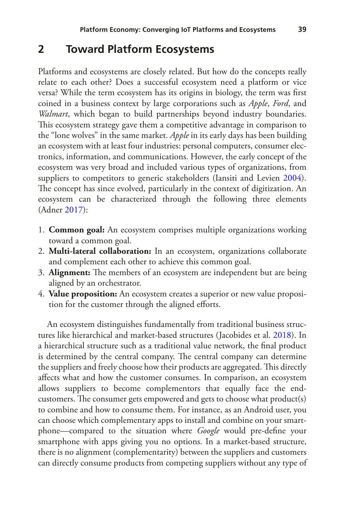### **2 Toward Platform Ecosystems**

Platforms and ecosystems are closely related. But how do the concepts really relate to each other? Does a successful ecosystem need a platform or vice versa? While the term ecosystem has its origins in biology, the term was frst coined in a business context by large corporations such as *Apple*, *Ford*, and *Walmart*, which began to build partnerships beyond industry boundaries. This ecosystem strategy gave them a competitive advantage in comparison to the "lone wolves" in the same market. *Apple* in its early days has been building an ecosystem with at least four industries: personal computers, consumer electronics, information, and communications. However, the early concept of the ecosystem was very broad and included various types of organizations, from suppliers to competitors to generic stakeholders (Iansiti and Levien [2004\)](#page-17-2). The concept has since evolved, particularly in the context of digitization. An ecosystem can be characterized through the following three elements (Adner [2017](#page-17-3)):

- 1. **Common goal:** An ecosystem comprises multiple organizations working toward a common goal.
- 2. **Multi-lateral collaboration:** In an ecosystem, organizations collaborate and complement each other to achieve this common goal.
- 3. **Alignment:** The members of an ecosystem are independent but are being aligned by an orchestrator.
- 4. **Value proposition:** An ecosystem creates a superior or new value proposition for the customer through the aligned efforts.

An ecosystem distinguishes fundamentally from traditional business structures like hierarchical and market-based structures (Jacobides et al. [2018](#page-17-4)). In a hierarchical structure such as a traditional value network, the fnal product is determined by the central company. The central company can determine the suppliers and freely choose how their products are aggregated. This directly afects what and how the customer consumes. In comparison, an ecosystem allows suppliers to become complementors that equally face the endcustomers. The consumer gets empowered and gets to choose what  $product(s)$ to combine and how to consume them. For instance, as an Android user, you can choose which complementary apps to install and combine on your smartphone—compared to the situation where *Google* would pre-defne your smartphone with apps giving you no options. In a market-based structure, there is no alignment (complementarity) between the suppliers and customers can directly consume products from competing suppliers without any type of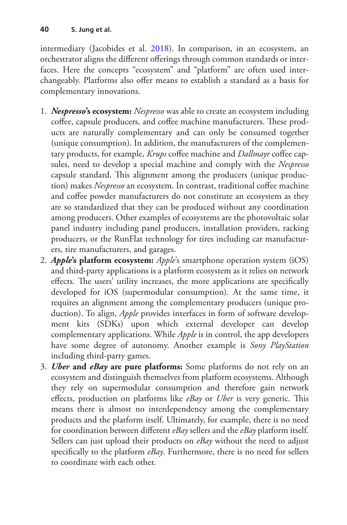intermediary (Jacobides et al. [2018\)](#page-17-4). In comparison, in an ecosystem, an orchestrator aligns the different offerings through common standards or interfaces. Here the concepts "ecosystem" and "platform" are often used interchangeably. Platforms also ofer means to establish a standard as a basis for complementary innovations.

- 1. *Nespresso***'s ecosystem:** *Nespresso* was able to create an ecosystem including coffee, capsule producers, and coffee machine manufacturers. These products are naturally complementary and can only be consumed together (unique consumption). In addition, the manufacturers of the complementary products, for example, *Krups* coffee machine and *Dallmayr* coffee capsules, need to develop a special machine and comply with the *Nespresso* capsule standard. This alignment among the producers (unique production) makes *Nespresso* an ecosystem. In contrast, traditional cofee machine and coffee powder manufacturers do not constitute an ecosystem as they are so standardized that they can be produced without any coordination among producers. Other examples of ecosystems are the photovoltaic solar panel industry including panel producers, installation providers, racking producers, or the RunFlat technology for tires including car manufacturers, tire manufacturers, and garages.
- 2. *Apple***'s platform ecosystem:** *Apple*'s smartphone operation system (iOS) and third-party applications is a platform ecosystem as it relies on network effects. The users' utility increases, the more applications are specifically developed for iOS (supermodular consumption). At the same time, it requires an alignment among the complementary producers (unique production). To align, *Apple* provides interfaces in form of software development kits (SDKs) upon which external developer can develop complementary applications. While *Apple* is in control, the app developers have some degree of autonomy. Another example is *Sony PlayStation* including third-party games.
- 3. *Uber* **and** *eBay* **are pure platforms:** Some platforms do not rely on an ecosystem and distinguish themselves from platform ecosystems. Although they rely on supermodular consumption and therefore gain network effects, production on platforms like *eBay* or *Uber* is very generic. This means there is almost no interdependency among the complementary products and the platform itself. Ultimately, for example, there is no need for coordination between diferent *eBay* sellers and the *eBay* platform itself. Sellers can just upload their products on *eBay* without the need to adjust specifcally to the platform *eBay*. Furthermore, there is no need for sellers to coordinate with each other.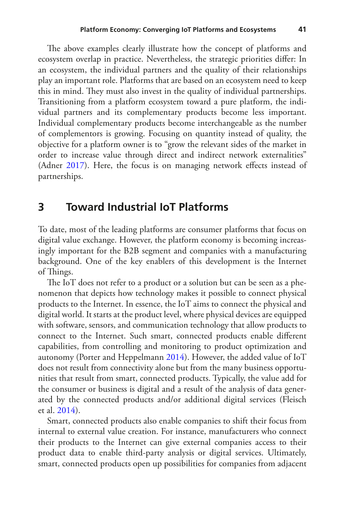The above examples clearly illustrate how the concept of platforms and ecosystem overlap in practice. Nevertheless, the strategic priorities difer: In an ecosystem, the individual partners and the quality of their relationships play an important role. Platforms that are based on an ecosystem need to keep this in mind. They must also invest in the quality of individual partnerships. Transitioning from a platform ecosystem toward a pure platform, the individual partners and its complementary products become less important. Individual complementary products become interchangeable as the number of complementors is growing. Focusing on quantity instead of quality, the objective for a platform owner is to "grow the relevant sides of the market in order to increase value through direct and indirect network externalities" (Adner [2017\)](#page-17-3). Here, the focus is on managing network effects instead of partnerships.

#### **3 Toward Industrial IoT Platforms**

To date, most of the leading platforms are consumer platforms that focus on digital value exchange. However, the platform economy is becoming increasingly important for the B2B segment and companies with a manufacturing background. One of the key enablers of this development is the Internet of Things.

The IoT does not refer to a product or a solution but can be seen as a phenomenon that depicts how technology makes it possible to connect physical products to the Internet. In essence, the IoT aims to connect the physical and digital world. It starts at the product level, where physical devices are equipped with software, sensors, and communication technology that allow products to connect to the Internet. Such smart, connected products enable diferent capabilities, from controlling and monitoring to product optimization and autonomy (Porter and Heppelmann [2014\)](#page-17-5). However, the added value of IoT does not result from connectivity alone but from the many business opportunities that result from smart, connected products. Typically, the value add for the consumer or business is digital and a result of the analysis of data generated by the connected products and/or additional digital services (Fleisch et al. [2014](#page-17-6)).

Smart, connected products also enable companies to shift their focus from internal to external value creation. For instance, manufacturers who connect their products to the Internet can give external companies access to their product data to enable third-party analysis or digital services. Ultimately, smart, connected products open up possibilities for companies from adjacent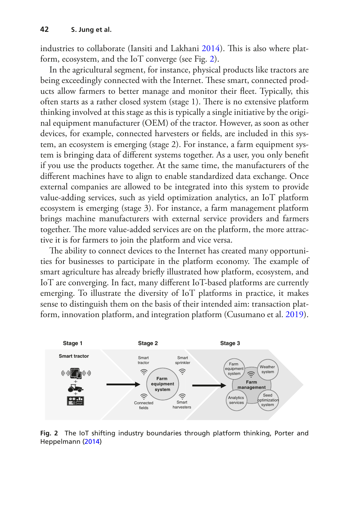industries to collaborate (Iansiti and Lakhani [2014\)](#page-17-7). This is also where platform, ecosystem, and the IoT converge (see Fig. [2](#page-7-0)).

In the agricultural segment, for instance, physical products like tractors are being exceedingly connected with the Internet. These smart, connected products allow farmers to better manage and monitor their feet. Typically, this often starts as a rather closed system (stage 1). There is no extensive platform thinking involved at this stage as this is typically a single initiative by the original equipment manufacturer (OEM) of the tractor. However, as soon as other devices, for example, connected harvesters or felds, are included in this system, an ecosystem is emerging (stage 2). For instance, a farm equipment system is bringing data of diferent systems together. As a user, you only beneft if you use the products together. At the same time, the manufacturers of the diferent machines have to align to enable standardized data exchange. Once external companies are allowed to be integrated into this system to provide value-adding services, such as yield optimization analytics, an IoT platform ecosystem is emerging (stage 3). For instance, a farm management platform brings machine manufacturers with external service providers and farmers together. The more value-added services are on the platform, the more attractive it is for farmers to join the platform and vice versa.

The ability to connect devices to the Internet has created many opportunities for businesses to participate in the platform economy. The example of smart agriculture has already briefy illustrated how platform, ecosystem, and IoT are converging. In fact, many diferent IoT-based platforms are currently emerging. To illustrate the diversity of IoT platforms in practice, it makes sense to distinguish them on the basis of their intended aim: transaction platform, innovation platform, and integration platform (Cusumano et al. [2019\)](#page-17-8).

<span id="page-7-0"></span>

**Fig. 2** The IoT shifting industry boundaries through platform thinking, Porter and Heppelmann [\(2014](#page-17-5))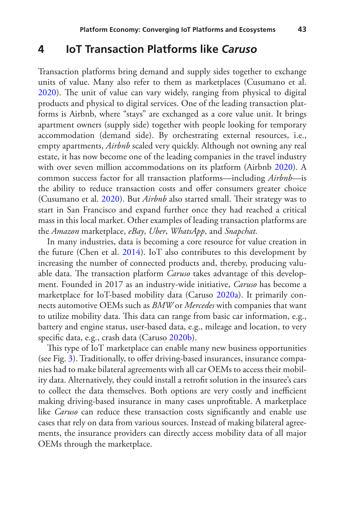#### **4 IoT Transaction Platforms like** *Caruso*

Transaction platforms bring demand and supply sides together to exchange units of value. Many also refer to them as marketplaces (Cusumano et al. [2020](#page-17-9)). The unit of value can vary widely, ranging from physical to digital products and physical to digital services. One of the leading transaction platforms is Airbnb, where "stays" are exchanged as a core value unit. It brings apartment owners (supply side) together with people looking for temporary accommodation (demand side). By orchestrating external resources, i.e., empty apartments, *Airbnb* scaled very quickly. Although not owning any real estate, it has now become one of the leading companies in the travel industry with over seven million accommodations on its platform (Airbnb [2020\)](#page-17-10). A common success factor for all transaction platforms—including *Airbnb*—is the ability to reduce transaction costs and offer consumers greater choice (Cusumano et al. [2020](#page-17-9)). But *Airbnb* also started small. Their strategy was to start in San Francisco and expand further once they had reached a critical mass in this local market. Other examples of leading transaction platforms are the *Amazon* marketplace, *eBay*, *Uber*, *WhatsApp*, and *Snapchat*.

In many industries, data is becoming a core resource for value creation in the future (Chen et al. [2014\)](#page-17-11). IoT also contributes to this development by increasing the number of connected products and, thereby, producing valuable data. The transaction platform *Caruso* takes advantage of this development. Founded in 2017 as an industry-wide initiative, *Caruso* has become a marketplace for IoT-based mobility data (Caruso [2020a\)](#page-17-12). It primarily connects automotive OEMs such as *BMW* or *Mercedes* with companies that want to utilize mobility data. This data can range from basic car information, e.g., battery and engine status, user-based data, e.g., mileage and location, to very specifc data, e.g., crash data (Caruso [2020b](#page-17-13)).

This type of IoT marketplace can enable many new business opportunities (see Fig. [3](#page-9-0)). Traditionally, to offer driving-based insurances, insurance companies had to make bilateral agreements with all car OEMs to access their mobility data. Alternatively, they could install a retroft solution in the insuree's cars to collect the data themselves. Both options are very costly and inefficient making driving-based insurance in many cases unproftable. A marketplace like *Caruso* can reduce these transaction costs significantly and enable use cases that rely on data from various sources. Instead of making bilateral agreements, the insurance providers can directly access mobility data of all major OEMs through the marketplace.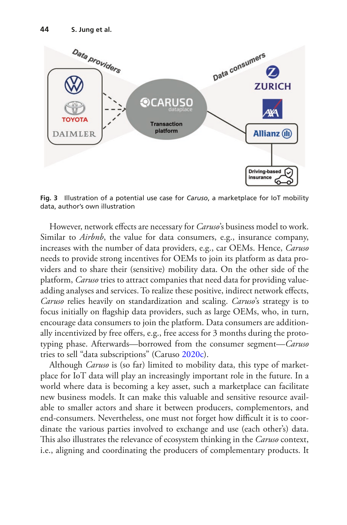<span id="page-9-0"></span>

**Fig. 3** Illustration of a potential use case for *Caruso*, a marketplace for IoT mobility data, author's own illustration

However, network effects are necessary for *Caruso*'s business model to work. Similar to *Airbnb*, the value for data consumers, e.g., insurance company, increases with the number of data providers, e.g., car OEMs. Hence, *Caruso* needs to provide strong incentives for OEMs to join its platform as data providers and to share their (sensitive) mobility data. On the other side of the platform, *Caruso* tries to attract companies that need data for providing valueadding analyses and services. To realize these positive, indirect network effects, *Caruso* relies heavily on standardization and scaling. *Caruso*'s strategy is to focus initially on fagship data providers, such as large OEMs, who, in turn, encourage data consumers to join the platform. Data consumers are additionally incentivized by free offers, e.g., free access for 3 months during the prototyping phase. Afterwards—borrowed from the consumer segment—*Caruso* tries to sell "data subscriptions" (Caruso [2020c\)](#page-17-14).

Although *Caruso* is (so far) limited to mobility data, this type of marketplace for IoT data will play an increasingly important role in the future. In a world where data is becoming a key asset, such a marketplace can facilitate new business models. It can make this valuable and sensitive resource available to smaller actors and share it between producers, complementors, and end-consumers. Nevertheless, one must not forget how difficult it is to coordinate the various parties involved to exchange and use (each other's) data. This also illustrates the relevance of ecosystem thinking in the *Caruso* context, i.e., aligning and coordinating the producers of complementary products. It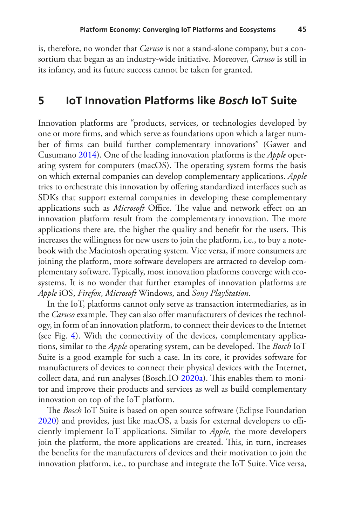is, therefore, no wonder that *Caruso* is not a stand-alone company, but a consortium that began as an industry-wide initiative. Moreover, *Caruso* is still in its infancy, and its future success cannot be taken for granted.

#### **5 IoT Innovation Platforms like** *Bosch* **IoT Suite**

Innovation platforms are "products, services, or technologies developed by one or more frms, and which serve as foundations upon which a larger number of frms can build further complementary innovations" (Gawer and Cusumano [2014](#page-17-1)). One of the leading innovation platforms is the *Apple* operating system for computers (macOS). The operating system forms the basis on which external companies can develop complementary applications. *Apple* tries to orchestrate this innovation by ofering standardized interfaces such as SDKs that support external companies in developing these complementary applications such as *Microsoft* Office. The value and network effect on an innovation platform result from the complementary innovation. The more applications there are, the higher the quality and benefit for the users. This increases the willingness for new users to join the platform, i.e., to buy a notebook with the Macintosh operating system. Vice versa, if more consumers are joining the platform, more software developers are attracted to develop complementary software. Typically, most innovation platforms converge with ecosystems. It is no wonder that further examples of innovation platforms are *Apple* iOS, *Firefox*, *Microsoft* Windows, and *Sony PlayStation*.

In the IoT, platforms cannot only serve as transaction intermediaries, as in the *Caruso* example. They can also offer manufacturers of devices the technology, in form of an innovation platform, to connect their devices to the Internet (see Fig. [4\)](#page-11-0). With the connectivity of the devices, complementary applications, similar to the *Apple* operating system, can be developed. The *Bosch* IoT Suite is a good example for such a case. In its core, it provides software for manufacturers of devices to connect their physical devices with the Internet, collect data, and run analyses (Bosch.IO [2020a\)](#page-17-15). This enables them to monitor and improve their products and services as well as build complementary innovation on top of the IoT platform.

The *Bosch* IoT Suite is based on open source software (Eclipse Foundation [2020](#page-17-16)) and provides, just like macOS, a basis for external developers to efficiently implement IoT applications. Similar to *Apple*, the more developers join the platform, the more applications are created. This, in turn, increases the benefts for the manufacturers of devices and their motivation to join the innovation platform, i.e., to purchase and integrate the IoT Suite. Vice versa,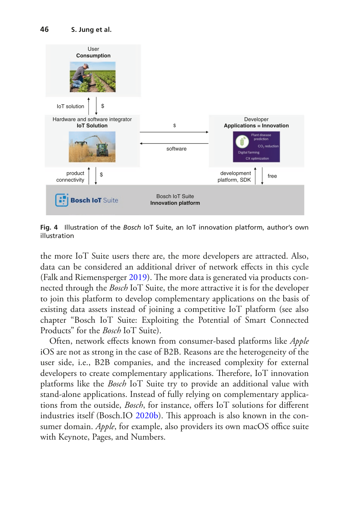<span id="page-11-0"></span>

**Fig. 4** Illustration of the *Bosch* IoT Suite, an IoT innovation platform, author's own illustration

the more IoT Suite users there are, the more developers are attracted. Also, data can be considered an additional driver of network efects in this cycle (Falk and Riemensperger  $2019$ ). The more data is generated via products connected through the *Bosch* IoT Suite, the more attractive it is for the developer to join this platform to develop complementary applications on the basis of existing data assets instead of joining a competitive IoT platform (see also chapter "Bosch IoT Suite: Exploiting the Potential of Smart Connected Products" for the *Bosch* IoT Suite).

Often, network efects known from consumer-based platforms like *Apple* iOS are not as strong in the case of B2B. Reasons are the heterogeneity of the user side, i.e., B2B companies, and the increased complexity for external developers to create complementary applications. Therefore, IoT innovation platforms like the *Bosch* IoT Suite try to provide an additional value with stand-alone applications. Instead of fully relying on complementary applications from the outside, *Bosch*, for instance, ofers IoT solutions for diferent industries itself (Bosch.IO [2020b](#page-17-18)). This approach is also known in the consumer domain. *Apple*, for example, also providers its own macOS office suite with Keynote, Pages, and Numbers.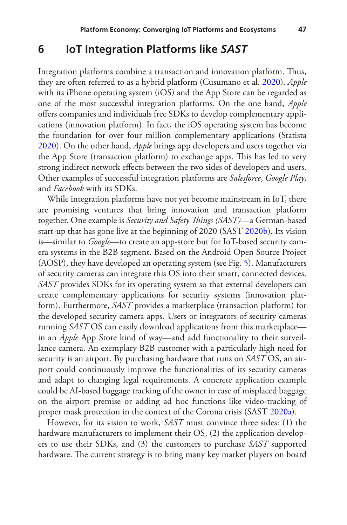#### **6 IoT Integration Platforms like** *SAST*

Integration platforms combine a transaction and innovation platform. Tus, they are often referred to as a hybrid platform (Cusumano et al. [2020](#page-17-9)). *Apple* with its iPhone operating system (iOS) and the App Store can be regarded as one of the most successful integration platforms. On the one hand, *Apple* ofers companies and individuals free SDKs to develop complementary applications (innovation platform). In fact, the iOS operating system has become the foundation for over four million complementary applications (Statista [2020](#page-18-4)). On the other hand, *Apple* brings app developers and users together via the App Store (transaction platform) to exchange apps. This has led to very strong indirect network efects between the two sides of developers and users. Other examples of successful integration platforms are *Salesforce*, *Google Play*, and *Facebook* with its SDKs.

While integration platforms have not yet become mainstream in IoT, there are promising ventures that bring innovation and transaction platform together. One example is *Security and Safety Tings (SAST)*—a German-based start-up that has gone live at the beginning of 2020 (SAST [2020b](#page-18-5)). Its vision is—similar to *Google*—to create an app-store but for IoT-based security camera systems in the B2B segment. Based on the Android Open Source Project (AOSP), they have developed an operating system (see Fig. [5\)](#page-13-0). Manufacturers of security cameras can integrate this OS into their smart, connected devices. *SAST* provides SDKs for its operating system so that external developers can create complementary applications for security systems (innovation platform). Furthermore, *SAST* provides a marketplace (transaction platform) for the developed security camera apps. Users or integrators of security cameras running *SAST* OS can easily download applications from this marketplace in an *Apple* App Store kind of way—and add functionality to their surveillance camera. An exemplary B2B customer with a particularly high need for security is an airport. By purchasing hardware that runs on *SAST* OS, an airport could continuously improve the functionalities of its security cameras and adapt to changing legal requirements. A concrete application example could be AI-based baggage tracking of the owner in case of misplaced baggage on the airport premise or adding ad hoc functions like video-tracking of proper mask protection in the context of the Corona crisis (SAST [2020a\)](#page-18-6).

However, for its vision to work, *SAST* must convince three sides: (1) the hardware manufacturers to implement their OS, (2) the application developers to use their SDKs, and (3) the customers to purchase *SAST* supported hardware. The current strategy is to bring many key market players on board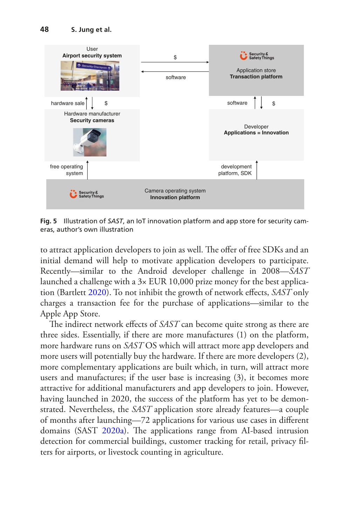<span id="page-13-0"></span>

**Fig. 5** Illustration of *SAST*, an IoT innovation platform and app store for security cameras, author's own illustration

to attract application developers to join as well. The offer of free SDKs and an initial demand will help to motivate application developers to participate. Recently—similar to the Android developer challenge in 2008—*SAST* launched a challenge with a  $3 \times$  EUR 10,000 prize money for the best application (Bartlett [2020\)](#page-17-19). To not inhibit the growth of network efects, *SAST* only charges a transaction fee for the purchase of applications—similar to the Apple App Store.

The indirect network effects of *SAST* can become quite strong as there are three sides. Essentially, if there are more manufactures (1) on the platform, more hardware runs on *SAST* OS which will attract more app developers and more users will potentially buy the hardware. If there are more developers (2), more complementary applications are built which, in turn, will attract more users and manufactures; if the user base is increasing (3), it becomes more attractive for additional manufacturers and app developers to join. However, having launched in 2020, the success of the platform has yet to be demonstrated. Nevertheless, the *SAST* application store already features—a couple of months after launching—72 applications for various use cases in diferent domains (SAST [2020a\)](#page-18-6). The applications range from AI-based intrusion detection for commercial buildings, customer tracking for retail, privacy flters for airports, or livestock counting in agriculture.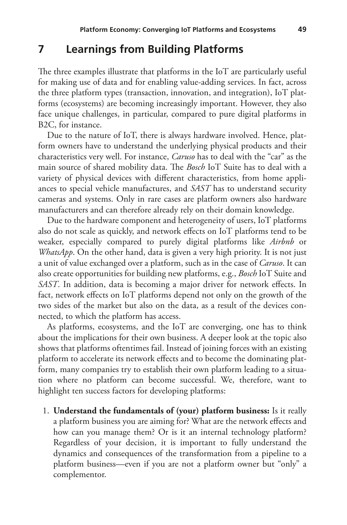#### **7 Learnings from Building Platforms**

The three examples illustrate that platforms in the  $I \circ T$  are particularly useful for making use of data and for enabling value-adding services. In fact, across the three platform types (transaction, innovation, and integration), IoT platforms (ecosystems) are becoming increasingly important. However, they also face unique challenges, in particular, compared to pure digital platforms in B2C, for instance.

Due to the nature of IoT, there is always hardware involved. Hence, platform owners have to understand the underlying physical products and their characteristics very well. For instance, *Caruso* has to deal with the "car" as the main source of shared mobility data. The *Bosch* IoT Suite has to deal with a variety of physical devices with diferent characteristics, from home appliances to special vehicle manufactures, and *SAST* has to understand security cameras and systems. Only in rare cases are platform owners also hardware manufacturers and can therefore already rely on their domain knowledge.

Due to the hardware component and heterogeneity of users, IoT platforms also do not scale as quickly, and network efects on IoT platforms tend to be weaker, especially compared to purely digital platforms like *Airbnb* or *WhatsApp*. On the other hand, data is given a very high priority. It is not just a unit of value exchanged over a platform, such as in the case of *Caruso*. It can also create opportunities for building new platforms, e.g., *Bosch* IoT Suite and *SAST*. In addition, data is becoming a major driver for network effects. In fact, network efects on IoT platforms depend not only on the growth of the two sides of the market but also on the data, as a result of the devices connected, to which the platform has access.

As platforms, ecosystems, and the IoT are converging, one has to think about the implications for their own business. A deeper look at the topic also shows that platforms oftentimes fail. Instead of joining forces with an existing platform to accelerate its network effects and to become the dominating platform, many companies try to establish their own platform leading to a situation where no platform can become successful. We, therefore, want to highlight ten success factors for developing platforms:

1. **Understand the fundamentals of (your) platform business:** Is it really a platform business you are aiming for? What are the network efects and how can you manage them? Or is it an internal technology platform? Regardless of your decision, it is important to fully understand the dynamics and consequences of the transformation from a pipeline to a platform business—even if you are not a platform owner but "only" a complementor.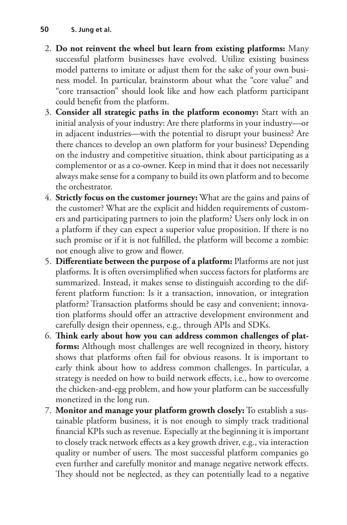- 2. **Do not reinvent the wheel but learn from existing platforms:** Many successful platform businesses have evolved. Utilize existing business model patterns to imitate or adjust them for the sake of your own business model. In particular, brainstorm about what the "core value" and "core transaction" should look like and how each platform participant could beneft from the platform.
- 3. **Consider all strategic paths in the platform economy:** Start with an initial analysis of your industry: Are there platforms in your industry—or in adjacent industries—with the potential to disrupt your business? Are there chances to develop an own platform for your business? Depending on the industry and competitive situation, think about participating as a complementor or as a co-owner. Keep in mind that it does not necessarily always make sense for a company to build its own platform and to become the orchestrator.
- 4. **Strictly focus on the customer journey:** What are the gains and pains of the customer? What are the explicit and hidden requirements of customers and participating partners to join the platform? Users only lock in on a platform if they can expect a superior value proposition. If there is no such promise or if it is not fulflled, the platform will become a zombie: not enough alive to grow and fower.
- 5. **Diferentiate between the purpose of a platform:** Platforms are not just platforms. It is often oversimplifed when success factors for platforms are summarized. Instead, it makes sense to distinguish according to the different platform function: Is it a transaction, innovation, or integration platform? Transaction platforms should be easy and convenient; innovation platforms should offer an attractive development environment and carefully design their openness, e.g., through APIs and SDKs.
- 6. **Tink early about how you can address common challenges of platforms:** Although most challenges are well recognized in theory, history shows that platforms often fail for obvious reasons. It is important to early think about how to address common challenges. In particular, a strategy is needed on how to build network efects, i.e., how to overcome the chicken-and-egg problem, and how your platform can be successfully monetized in the long run.
- 7. **Monitor and manage your platform growth closely:** To establish a sustainable platform business, it is not enough to simply track traditional fnancial KPIs such as revenue. Especially at the beginning it is important to closely track network efects as a key growth driver, e.g., via interaction quality or number of users. The most successful platform companies go even further and carefully monitor and manage negative network efects. They should not be neglected, as they can potentially lead to a negative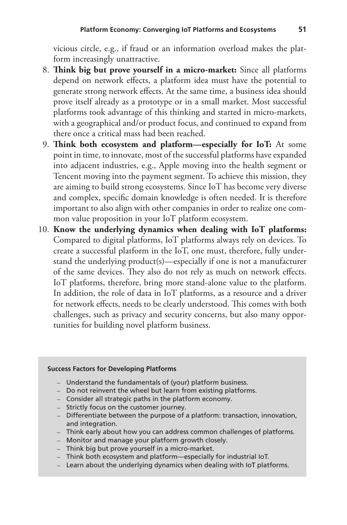vicious circle, e.g., if fraud or an information overload makes the platform increasingly unattractive.

- 8. **Tink big but prove yourself in a micro-market:** Since all platforms depend on network effects, a platform idea must have the potential to generate strong network efects. At the same time, a business idea should prove itself already as a prototype or in a small market. Most successful platforms took advantage of this thinking and started in micro-markets, with a geographical and/or product focus, and continued to expand from there once a critical mass had been reached.
- 9. **Tink both ecosystem and platform—especially for IoT:** At some point in time, to innovate, most of the successful platforms have expanded into adjacent industries, e.g., Apple moving into the health segment or Tencent moving into the payment segment. To achieve this mission, they are aiming to build strong ecosystems. Since IoT has become very diverse and complex, specifc domain knowledge is often needed. It is therefore important to also align with other companies in order to realize one common value proposition in your IoT platform ecosystem.
- 10. **Know the underlying dynamics when dealing with IoT platforms:** Compared to digital platforms, IoT platforms always rely on devices. To create a successful platform in the IoT, one must, therefore, fully understand the underlying product(s)—especially if one is not a manufacturer of the same devices. They also do not rely as much on network effects. IoT platforms, therefore, bring more stand-alone value to the platform. In addition, the role of data in IoT platforms, as a resource and a driver for network effects, needs to be clearly understood. This comes with both challenges, such as privacy and security concerns, but also many opportunities for building novel platform business.

#### **Success Factors for Developing Platforms**

- Understand the fundamentals of (your) platform business.
- Do not reinvent the wheel but learn from existing platforms.
- Consider all strategic paths in the platform economy.
- Strictly focus on the customer journey.
- Differentiate between the purpose of a platform: transaction, innovation, and integration.
- Think early about how you can address common challenges of platforms.
- Monitor and manage your platform growth closely.
- Think big but prove yourself in a micro-market.
- Think both ecosystem and platform—especially for industrial IoT.
- Learn about the underlying dynamics when dealing with IoT platforms.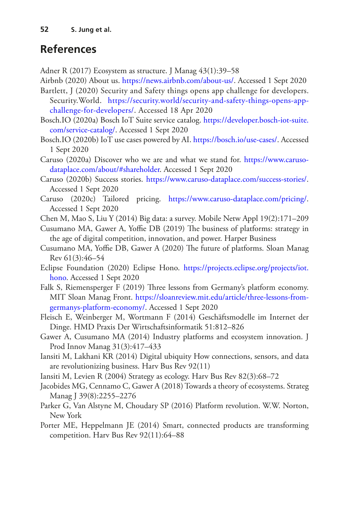### **References**

- <span id="page-17-3"></span>Adner R (2017) Ecosystem as structure. J Manag 43(1):39–58
- <span id="page-17-10"></span>Airbnb (2020) About us. <https://news.airbnb.com/about-us/>. Accessed 1 Sept 2020
- <span id="page-17-19"></span>Bartlett, J (2020) Security and Safety things opens app challenge for developers. Security.World. [https://security.world/security-and-safety-things-opens-app](https://security.world/security-and-safety-things-opens-app-challenge-for-developers/)[challenge-for-developers/.](https://security.world/security-and-safety-things-opens-app-challenge-for-developers/) Accessed 18 Apr 2020
- <span id="page-17-15"></span>Bosch.IO (2020a) Bosch IoT Suite service catalog. [https://developer.bosch-iot-suite.](https://developer.bosch-iot-suite.com/service-catalog/) [com/service-catalog/.](https://developer.bosch-iot-suite.com/service-catalog/) Accessed 1 Sept 2020
- <span id="page-17-18"></span>Bosch.IO (2020b) IoT use cases powered by AI.<https://bosch.io/use-cases/>. Accessed 1 Sept 2020
- <span id="page-17-12"></span>Caruso (2020a) Discover who we are and what we stand for. [https://www.caruso](https://www.caruso-dataplace.com/about/#shareholder)[dataplace.com/about/#shareholder](https://www.caruso-dataplace.com/about/#shareholder). Accessed 1 Sept 2020
- <span id="page-17-13"></span>Caruso (2020b) Success stories. [https://www.caruso-dataplace.com/success-stories/.](https://www.caruso-dataplace.com/success-stories/) Accessed 1 Sept 2020
- <span id="page-17-14"></span>Caruso (2020c) Tailored pricing. [https://www.caruso-dataplace.com/pricing/.](https://www.caruso-dataplace.com/pricing/) Accessed 1 Sept 2020
- <span id="page-17-11"></span>Chen M, Mao S, Liu Y (2014) Big data: a survey. Mobile Netw Appl 19(2):171–209
- <span id="page-17-8"></span>Cusumano MA, Gawer A, Yoffie DB (2019) The business of platforms: strategy in the age of digital competition, innovation, and power. Harper Business
- <span id="page-17-9"></span>Cusumano MA, Yoffie DB, Gawer A (2020) The future of platforms. Sloan Manag Rev 61(3):46–54
- <span id="page-17-16"></span>Eclipse Foundation (2020) Eclipse Hono. [https://projects.eclipse.org/projects/iot.](https://projects.eclipse.org/projects/iot.hono) [hono.](https://projects.eclipse.org/projects/iot.hono) Accessed 1 Sept 2020
- <span id="page-17-17"></span>Falk S, Riemensperger F (2019) Three lessons from Germany's platform economy. MIT Sloan Manag Front. [https://sloanreview.mit.edu/article/three-lessons-from](https://sloanreview.mit.edu/article/three-lessons-from-germanys-platform-economy/)[germanys-platform-economy/.](https://sloanreview.mit.edu/article/three-lessons-from-germanys-platform-economy/) Accessed 1 Sept 2020
- <span id="page-17-6"></span>Fleisch E, Weinberger M, Wortmann F (2014) Geschäftsmodelle im Internet der Dinge. HMD Praxis Der Wirtschaftsinformatik 51:812–826
- <span id="page-17-1"></span>Gawer A, Cusumano MA (2014) Industry platforms and ecosystem innovation. J Prod Innov Manag 31(3):417–433
- <span id="page-17-7"></span>Iansiti M, Lakhani KR (2014) Digital ubiquity How connections, sensors, and data are revolutionizing business. Harv Bus Rev 92(11)
- <span id="page-17-2"></span>Iansiti M, Levien R (2004) Strategy as ecology. Harv Bus Rev 82(3):68–72
- <span id="page-17-4"></span>Jacobides MG, Cennamo C, Gawer A (2018) Towards a theory of ecosystems. Strateg Manag J 39(8):2255–2276
- <span id="page-17-0"></span>Parker G, Van Alstyne M, Choudary SP (2016) Platform revolution. W.W. Norton, New York
- <span id="page-17-5"></span>Porter ME, Heppelmann JE (2014) Smart, connected products are transforming competition. Harv Bus Rev 92(11):64–88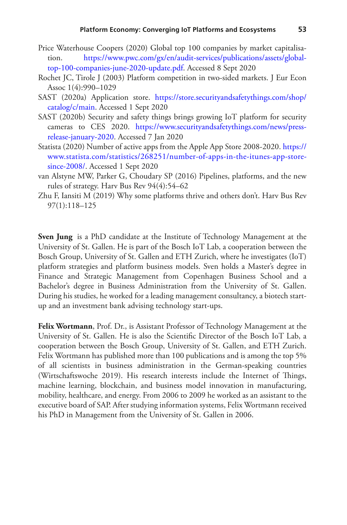- <span id="page-18-0"></span>Price Waterhouse Coopers (2020) Global top 100 companies by market capitalisation. [https://www.pwc.com/gx/en/audit-services/publications/assets/global](https://www.pwc.com/gx/en/audit-services/publications/assets/global-top-100-companies-june-2020-update.pdf)[top-100-companies-june-2020-update.pdf.](https://www.pwc.com/gx/en/audit-services/publications/assets/global-top-100-companies-june-2020-update.pdf) Accessed 8 Sept 2020
- <span id="page-18-1"></span>Rochet JC, Tirole J (2003) Platform competition in two-sided markets. J Eur Econ Assoc 1(4):990–1029
- <span id="page-18-6"></span>SAST (2020a) Application store. [https://store.securityandsafetythings.com/shop/](https://store.securityandsafetythings.com/shop/catalog/c/main) [catalog/c/main](https://store.securityandsafetythings.com/shop/catalog/c/main). Accessed 1 Sept 2020
- <span id="page-18-5"></span>SAST (2020b) Security and safety things brings growing IoT platform for security cameras to CES 2020. [https://www.securityandsafetythings.com/news/press](https://www.securityandsafetythings.com/news/press-release-january-2020)[release-january-2020](https://www.securityandsafetythings.com/news/press-release-january-2020). Accessed 7 Jan 2020
- <span id="page-18-4"></span>Statista (2020) Number of active apps from the Apple App Store 2008-2020. [https://](https://www.statista.com/statistics/268251/number-of-apps-in-the-itunes-app-store-since-2008/) [www.statista.com/statistics/268251/number-of-apps-in-the-itunes-app-store](https://www.statista.com/statistics/268251/number-of-apps-in-the-itunes-app-store-since-2008/)[since-2008/.](https://www.statista.com/statistics/268251/number-of-apps-in-the-itunes-app-store-since-2008/) Accessed 1 Sept 2020
- <span id="page-18-2"></span>van Alstyne MW, Parker G, Choudary SP (2016) Pipelines, platforms, and the new rules of strategy. Harv Bus Rev 94(4):54–62
- <span id="page-18-3"></span>Zhu F, Iansiti M (2019) Why some platforms thrive and others don't. Harv Bus Rev 97(1):118–125

**Sven Jung** is a PhD candidate at the Institute of Technology Management at the University of St. Gallen. He is part of the Bosch IoT Lab, a cooperation between the Bosch Group, University of St. Gallen and ETH Zurich, where he investigates (IoT) platform strategies and platform business models. Sven holds a Master's degree in Finance and Strategic Management from Copenhagen Business School and a Bachelor's degree in Business Administration from the University of St. Gallen. During his studies, he worked for a leading management consultancy, a biotech startup and an investment bank advising technology start-ups.

**Felix Wortmann**, Prof. Dr., is Assistant Professor of Technology Management at the University of St. Gallen. He is also the Scientifc Director of the Bosch IoT Lab, a cooperation between the Bosch Group, University of St. Gallen, and ETH Zurich. Felix Wortmann has published more than 100 publications and is among the top 5% of all scientists in business administration in the German-speaking countries (Wirtschaftswoche 2019). His research interests include the Internet of Things, machine learning, blockchain, and business model innovation in manufacturing, mobility, healthcare, and energy. From 2006 to 2009 he worked as an assistant to the executive board of SAP. After studying information systems, Felix Wortmann received his PhD in Management from the University of St. Gallen in 2006.